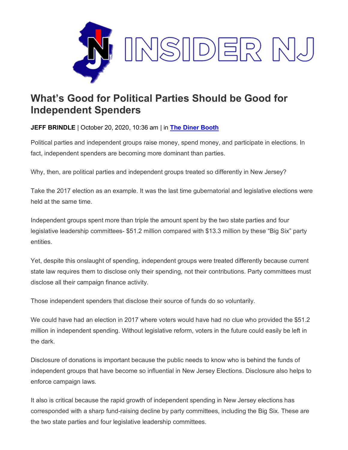

## **What's Good for Political Parties Should be Good for Independent Spenders**

**JEFF BRINDLE** | October 20, 2020, 10:36 am | in **The [Diner Booth](https://www.insidernj.com/category/the-diner-booth/)**

Political parties and independent groups raise money, spend money, and participate in elections. In fact, independent spenders are becoming more dominant than parties.

Why, then, are political parties and independent groups treated so differently in New Jersey?

Take the 2017 election as an example. It was the last time gubernatorial and legislative elections were held at the same time.

Independent groups spent more than triple the amount spent by the two state parties and four legislative leadership committees- \$51.2 million compared with \$13.3 million by these "Big Six" party entities.

Yet, despite this onslaught of spending, independent groups were treated differently because current state law requires them to disclose only their spending, not their contributions. Party committees must disclose all their campaign finance activity.

Those independent spenders that disclose their source of funds do so voluntarily.

We could have had an election in 2017 where voters would have had no clue who provided the \$51.2 million in independent spending. Without legislative reform, voters in the future could easily be left in the dark.

Disclosure of donations is important because the public needs to know who is behind the funds of independent groups that have become so influential in New Jersey Elections. Disclosure also helps to enforce campaign laws.

It also is critical because the rapid growth of independent spending in New Jersey elections has corresponded with a sharp fund-raising decline by party committees, including the Big Six. These are the two state parties and four legislative leadership committees.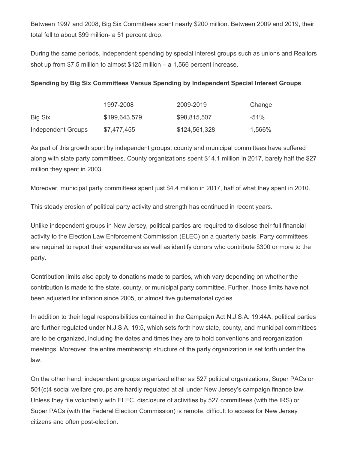Between 1997 and 2008, Big Six Committees spent nearly \$200 million. Between 2009 and 2019, their total fell to about \$99 million- a 51 percent drop.

During the same periods, independent spending by special interest groups such as unions and Realtors shot up from \$7.5 million to almost \$125 million – a 1,566 percent increase.

|                    | 1997-2008     | 2009-2019     | Change |
|--------------------|---------------|---------------|--------|
| Big Six            | \$199,643,579 | \$98,815,507  | $-51%$ |
| Independent Groups | \$7,477,455   | \$124,561,328 | 1,566% |

## **Spending by Big Six Committees Versus Spending by Independent Special Interest Groups**

As part of this growth spurt by independent groups, county and municipal committees have suffered along with state party committees. County organizations spent \$14.1 million in 2017, barely half the \$27 million they spent in 2003.

Moreover, municipal party committees spent just \$4.4 million in 2017, half of what they spent in 2010.

This steady erosion of political party activity and strength has continued in recent years.

Unlike independent groups in New Jersey, political parties are required to disclose their full financial activity to the Election Law Enforcement Commission (ELEC) on a quarterly basis. Party committees are required to report their expenditures as well as identify donors who contribute \$300 or more to the party.

Contribution limits also apply to donations made to parties, which vary depending on whether the contribution is made to the state, county, or municipal party committee. Further, those limits have not been adjusted for inflation since 2005, or almost five gubernatorial cycles.

In addition to their legal responsibilities contained in the Campaign Act N.J.S.A. 19:44A, political parties are further regulated under N.J.S.A. 19:5, which sets forth how state, county, and municipal committees are to be organized, including the dates and times they are to hold conventions and reorganization meetings. Moreover, the entire membership structure of the party organization is set forth under the law.

On the other hand, independent groups organized either as 527 political organizations, Super PACs or 501(c)4 social welfare groups are hardly regulated at all under New Jersey's campaign finance law. Unless they file voluntarily with ELEC, disclosure of activities by 527 committees (with the IRS) or Super PACs (with the Federal Election Commission) is remote, difficult to access for New Jersey citizens and often post-election.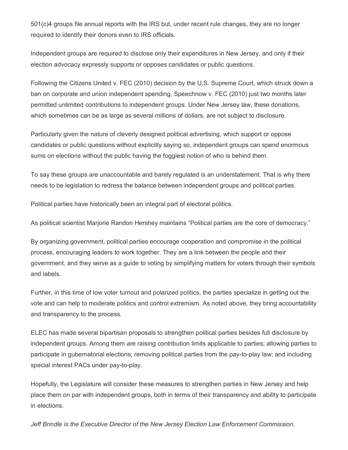501(c)4 groups file annual reports with the IRS but, under recent rule changes, they are no longer required to identify their donors even to IRS officials.

Independent groups are required to disclose only their expenditures in New Jersey, and only if their election advocacy expressly supports or opposes candidates or public questions.

Following the Citizens United v. FEC (2010) decision by the U.S. Supreme Court, which struck down a ban on corporate and union independent spending, Speechnow v. FEC (2010) just two months later permitted unlimited contributions to independent groups. Under New Jersey law, these donations, which sometimes can be as large as several millions of dollars, are not subject to disclosure.

Particularly given the nature of cleverly designed political advertising, which support or oppose candidates or public questions without explicitly saying so, independent groups can spend enormous sums on elections without the public having the foggiest notion of who is behind them.

To say these groups are unaccountable and barely regulated is an understatement. That is why there needs to be legislation to redress the balance between independent groups and political parties.

Political parties have historically been an integral part of electoral politics.

As political scientist Marjorie Randon Hershey maintains "Political parties are the core of democracy."

By organizing government, political parties encourage cooperation and compromise in the political process, encouraging leaders to work together. They are a link between the people and their government, and they serve as a guide to voting by simplifying matters for voters through their symbols and labels.

Further, in this time of low voter turnout and polarized politics, the parties specialize in getting out the vote and can help to moderate politics and control extremism. As noted above, they bring accountability and transparency to the process.

ELEC has made several bipartisan proposals to strengthen political parties besides full disclosure by independent groups. Among them are raising contribution limits applicable to parties; allowing parties to participate in gubernatorial elections; removing political parties from the pay-to-play law; and including special interest PACs under pay-to-play.

Hopefully, the Legislature will consider these measures to strengthen parties in New Jersey and help place them on par with independent groups, both in terms of their transparency and ability to participate in elections.

*Jeff Brindle is the Executive Director of the New Jersey Election Law Enforcement Commission.*